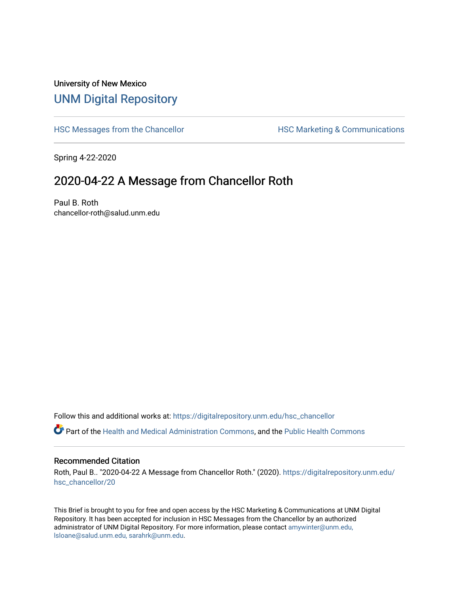# University of New Mexico [UNM Digital Repository](https://digitalrepository.unm.edu/)

[HSC Messages from the Chancellor](https://digitalrepository.unm.edu/hsc_chancellor) **HSC Marketing & Communications** 

Spring 4-22-2020

# 2020-04-22 A Message from Chancellor Roth

Paul B. Roth chancellor-roth@salud.unm.edu

Follow this and additional works at: [https://digitalrepository.unm.edu/hsc\\_chancellor](https://digitalrepository.unm.edu/hsc_chancellor?utm_source=digitalrepository.unm.edu%2Fhsc_chancellor%2F20&utm_medium=PDF&utm_campaign=PDFCoverPages) 

Part of the [Health and Medical Administration Commons](http://network.bepress.com/hgg/discipline/663?utm_source=digitalrepository.unm.edu%2Fhsc_chancellor%2F20&utm_medium=PDF&utm_campaign=PDFCoverPages), and the [Public Health Commons](http://network.bepress.com/hgg/discipline/738?utm_source=digitalrepository.unm.edu%2Fhsc_chancellor%2F20&utm_medium=PDF&utm_campaign=PDFCoverPages) 

#### Recommended Citation

Roth, Paul B.. "2020-04-22 A Message from Chancellor Roth." (2020). [https://digitalrepository.unm.edu/](https://digitalrepository.unm.edu/hsc_chancellor/20?utm_source=digitalrepository.unm.edu%2Fhsc_chancellor%2F20&utm_medium=PDF&utm_campaign=PDFCoverPages) [hsc\\_chancellor/20](https://digitalrepository.unm.edu/hsc_chancellor/20?utm_source=digitalrepository.unm.edu%2Fhsc_chancellor%2F20&utm_medium=PDF&utm_campaign=PDFCoverPages) 

This Brief is brought to you for free and open access by the HSC Marketing & Communications at UNM Digital Repository. It has been accepted for inclusion in HSC Messages from the Chancellor by an authorized administrator of UNM Digital Repository. For more information, please contact [amywinter@unm.edu,](mailto:amywinter@unm.edu,%20lsloane@salud.unm.edu,%20sarahrk@unm.edu) [lsloane@salud.unm.edu, sarahrk@unm.edu.](mailto:amywinter@unm.edu,%20lsloane@salud.unm.edu,%20sarahrk@unm.edu)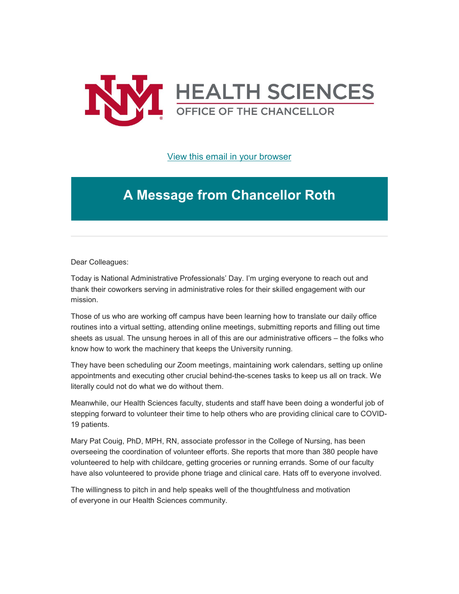

[View this email in your browser](https://mailchi.mp/0de43a5d92cf/message-from-the-chancellor-coronavirus-4394928?e=b4bbfca2c0)

# **A Message from Chancellor Roth**

Dear Colleagues:

Today is National Administrative Professionals' Day. I'm urging everyone to reach out and thank their coworkers serving in administrative roles for their skilled engagement with our mission.

Those of us who are working off campus have been learning how to translate our daily office routines into a virtual setting, attending online meetings, submitting reports and filling out time sheets as usual. The unsung heroes in all of this are our administrative officers – the folks who know how to work the machinery that keeps the University running.

They have been scheduling our Zoom meetings, maintaining work calendars, setting up online appointments and executing other crucial behind-the-scenes tasks to keep us all on track. We literally could not do what we do without them.

Meanwhile, our Health Sciences faculty, students and staff have been doing a wonderful job of stepping forward to volunteer their time to help others who are providing clinical care to COVID-19 patients.

Mary Pat Couig, PhD, MPH, RN, associate professor in the College of Nursing, has been overseeing the coordination of volunteer efforts. She reports that more than 380 people have volunteered to help with childcare, getting groceries or running errands. Some of our faculty have also volunteered to provide phone triage and clinical care. Hats off to everyone involved.

The willingness to pitch in and help speaks well of the thoughtfulness and motivation of everyone in our Health Sciences community.